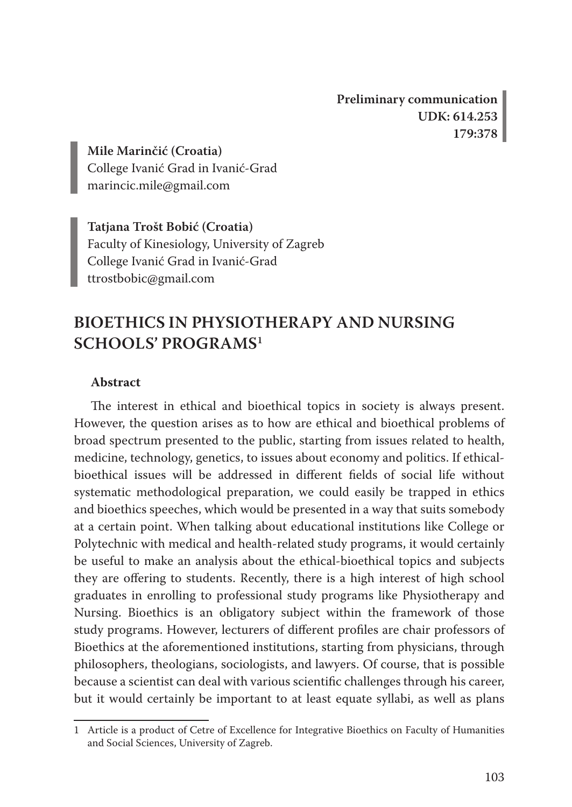**Preliminary communication UDK: 614.253 179:378**

**Mile Marinčić (Croatia)** College Ivanić Grad in Ivanić-Grad marincic.mile@gmail.com

**Tatjana Trošt Bobić (Croatia)** Faculty of Kinesiology, University of Zagreb College Ivanić Grad in Ivanić-Grad ttrostbobic@gmail.com

# **BIOETHICS IN PHYSIOTHERAPY AND NURSING SCHOOLS' PROGRAMS1**

#### **Abstract**

The interest in ethical and bioethical topics in society is always present. However, the question arises as to how are ethical and bioethical problems of broad spectrum presented to the public, starting from issues related to health, medicine, technology, genetics, to issues about economy and politics. If ethicalbioethical issues will be addressed in different fields of social life without systematic methodological preparation, we could easily be trapped in ethics and bioethics speeches, which would be presented in a way that suits somebody at a certain point. When talking about educational institutions like College or Polytechnic with medical and health-related study programs, it would certainly be useful to make an analysis about the ethical-bioethical topics and subjects they are offering to students. Recently, there is a high interest of high school graduates in enrolling to professional study programs like Physiotherapy and Nursing. Bioethics is an obligatory subject within the framework of those study programs. However, lecturers of different profiles are chair professors of Bioethics at the aforementioned institutions, starting from physicians, through philosophers, theologians, sociologists, and lawyers. Of course, that is possible because a scientist can deal with various scientific challenges through his career, but it would certainly be important to at least equate syllabi, as well as plans

<sup>1</sup> Article is a product of Cetre of Excellence for Integrative Bioethics on Faculty of Humanities and Social Sciences, University of Zagreb.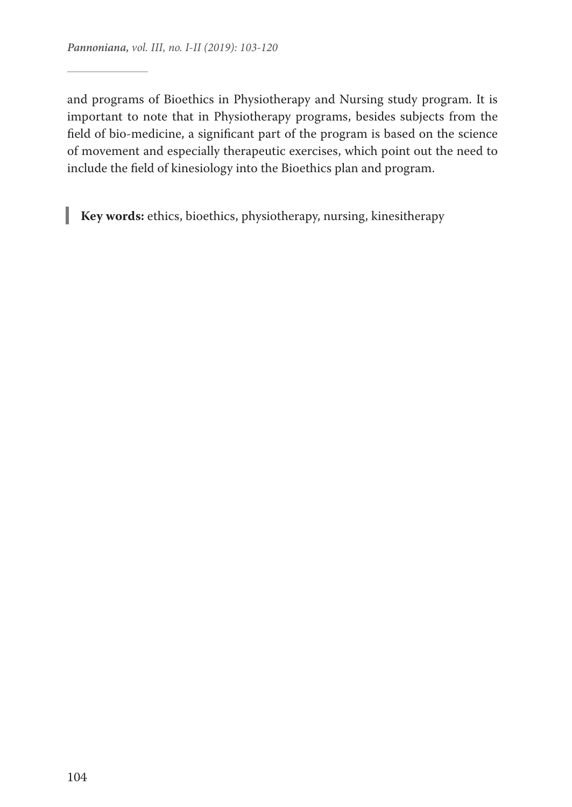and programs of Bioethics in Physiotherapy and Nursing study program. It is important to note that in Physiotherapy programs, besides subjects from the field of bio-medicine, a significant part of the program is based on the science of movement and especially therapeutic exercises, which point out the need to include the field of kinesiology into the Bioethics plan and program.

**Key words:** ethics, bioethics, physiotherapy, nursing, kinesitherapy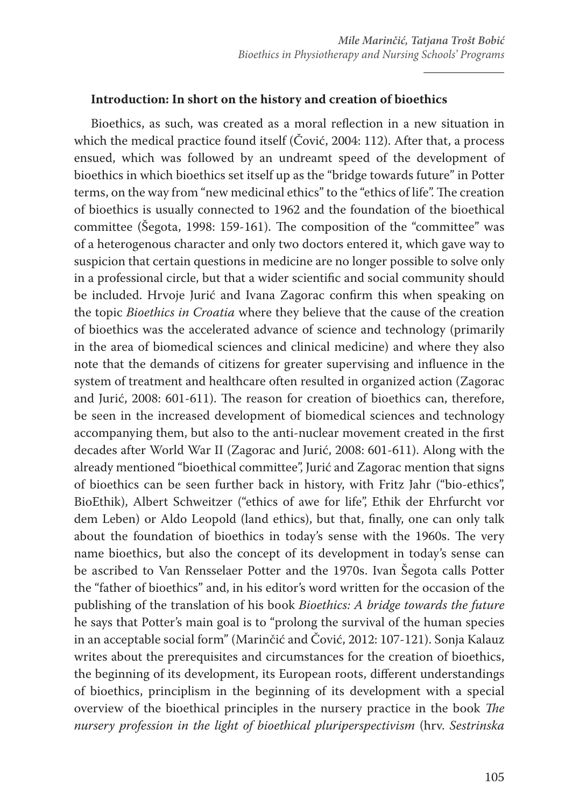#### **Introduction: In short on the history and creation of bioethics**

Bioethics, as such, was created as a moral reflection in a new situation in which the medical practice found itself (Čović, 2004: 112). After that, a process ensued, which was followed by an undreamt speed of the development of bioethics in which bioethics set itself up as the "bridge towards future" in Potter terms, on the way from "new medicinal ethics" to the "ethics of life". The creation of bioethics is usually connected to 1962 and the foundation of the bioethical committee (Šegota, 1998: 159-161). The composition of the "committee" was of a heterogenous character and only two doctors entered it, which gave way to suspicion that certain questions in medicine are no longer possible to solve only in a professional circle, but that a wider scientific and social community should be included. Hrvoje Jurić and Ivana Zagorac confirm this when speaking on the topic *Bioethics in Croatia* where they believe that the cause of the creation of bioethics was the accelerated advance of science and technology (primarily in the area of biomedical sciences and clinical medicine) and where they also note that the demands of citizens for greater supervising and influence in the system of treatment and healthcare often resulted in organized action (Zagorac and Jurić, 2008: 601-611). The reason for creation of bioethics can, therefore, be seen in the increased development of biomedical sciences and technology accompanying them, but also to the anti-nuclear movement created in the first decades after World War II (Zagorac and Jurić, 2008: 601-611). Along with the already mentioned "bioethical committee", Jurić and Zagorac mention that signs of bioethics can be seen further back in history, with Fritz Jahr ("bio-ethics", BioEthik), Albert Schweitzer ("ethics of awe for life", Ethik der Ehrfurcht vor dem Leben) or Aldo Leopold (land ethics), but that, finally, one can only talk about the foundation of bioethics in today's sense with the 1960s. The very name bioethics, but also the concept of its development in today's sense can be ascribed to Van Rensselaer Potter and the 1970s. Ivan Šegota calls Potter the "father of bioethics" and, in his editor's word written for the occasion of the publishing of the translation of his book *Bioethics: A bridge towards the future*  he says that Potter's main goal is to "prolong the survival of the human species in an acceptable social form" (Marinčić and Čović, 2012: 107-121). Sonja Kalauz writes about the prerequisites and circumstances for the creation of bioethics, the beginning of its development, its European roots, different understandings of bioethics, principlism in the beginning of its development with a special overview of the bioethical principles in the nursery practice in the book *The nursery profession in the light of bioethical pluriperspectivism* (hrv. *Sestrinska*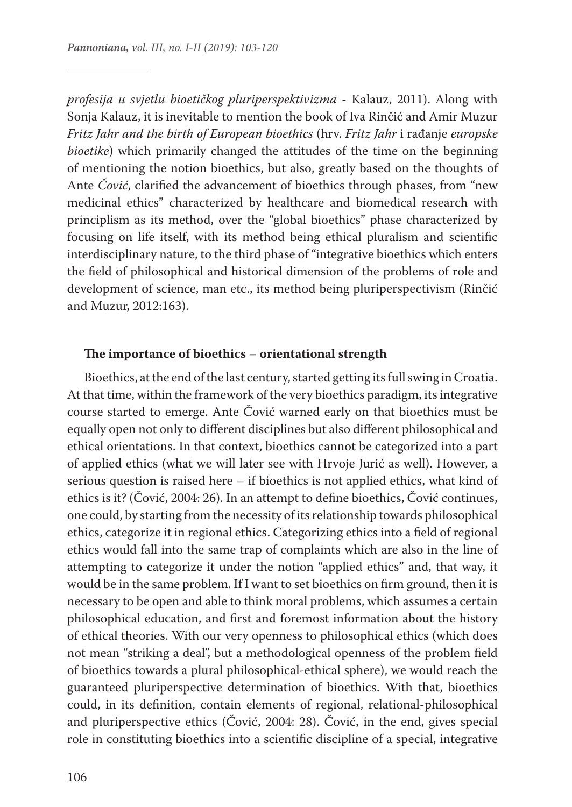*profesija u svjetlu bioetičkog pluriperspektivizma* - Kalauz, 2011). Along with Sonja Kalauz, it is inevitable to mention the book of Iva Rinčić and Amir Muzur *Fritz Jahr and the birth of European bioethics* (hrv. *Fritz Jahr* i rađanje *europske bioetike*) which primarily changed the attitudes of the time on the beginning of mentioning the notion bioethics, but also, greatly based on the thoughts of Ante *Čović*, clarified the advancement of bioethics through phases, from "new medicinal ethics" characterized by healthcare and biomedical research with principlism as its method, over the "global bioethics" phase characterized by focusing on life itself, with its method being ethical pluralism and scientific interdisciplinary nature, to the third phase of "integrative bioethics which enters the field of philosophical and historical dimension of the problems of role and development of science, man etc., its method being pluriperspectivism (Rinčić and Muzur, 2012:163).

#### **The importance of bioethics – orientational strength**

Bioethics, at the end of the last century, started getting its full swing in Croatia. At that time, within the framework of the very bioethics paradigm, its integrative course started to emerge. Ante Čović warned early on that bioethics must be equally open not only to different disciplines but also different philosophical and ethical orientations. In that context, bioethics cannot be categorized into a part of applied ethics (what we will later see with Hrvoje Jurić as well). However, a serious question is raised here – if bioethics is not applied ethics, what kind of ethics is it? (Čović, 2004: 26). In an attempt to define bioethics, Čović continues, one could, by starting from the necessity of its relationship towards philosophical ethics, categorize it in regional ethics. Categorizing ethics into a field of regional ethics would fall into the same trap of complaints which are also in the line of attempting to categorize it under the notion "applied ethics" and, that way, it would be in the same problem. If I want to set bioethics on firm ground, then it is necessary to be open and able to think moral problems, which assumes a certain philosophical education, and first and foremost information about the history of ethical theories. With our very openness to philosophical ethics (which does not mean "striking a deal", but a methodological openness of the problem field of bioethics towards a plural philosophical-ethical sphere), we would reach the guaranteed pluriperspective determination of bioethics. With that, bioethics could, in its definition, contain elements of regional, relational-philosophical and pluriperspective ethics (Čović, 2004: 28). Čović, in the end, gives special role in constituting bioethics into a scientific discipline of a special, integrative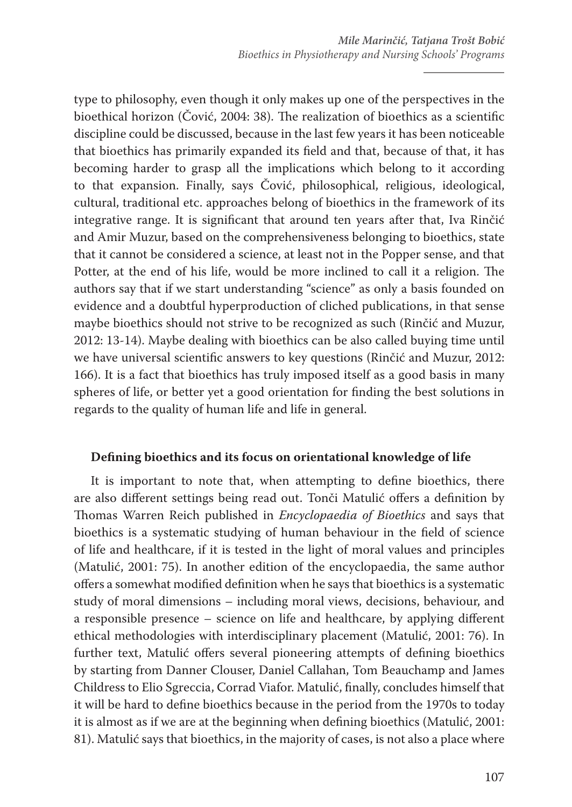type to philosophy, even though it only makes up one of the perspectives in the bioethical horizon (Čović, 2004: 38). The realization of bioethics as a scientific discipline could be discussed, because in the last few years it has been noticeable that bioethics has primarily expanded its field and that, because of that, it has becoming harder to grasp all the implications which belong to it according to that expansion. Finally, says Čović, philosophical, religious, ideological, cultural, traditional etc. approaches belong of bioethics in the framework of its integrative range. It is significant that around ten years after that, Iva Rinčić and Amir Muzur, based on the comprehensiveness belonging to bioethics, state that it cannot be considered a science, at least not in the Popper sense, and that Potter, at the end of his life, would be more inclined to call it a religion. The authors say that if we start understanding "science" as only a basis founded on evidence and a doubtful hyperproduction of cliched publications, in that sense maybe bioethics should not strive to be recognized as such (Rinčić and Muzur, 2012: 13-14). Maybe dealing with bioethics can be also called buying time until we have universal scientific answers to key questions (Rinčić and Muzur, 2012: 166). It is a fact that bioethics has truly imposed itself as a good basis in many spheres of life, or better yet a good orientation for finding the best solutions in regards to the quality of human life and life in general.

### **Defining bioethics and its focus on orientational knowledge of life**

It is important to note that, when attempting to define bioethics, there are also different settings being read out. Tonči Matulić offers a definition by Thomas Warren Reich published in *Encyclopaedia of Bioethics* and says that bioethics is a systematic studying of human behaviour in the field of science of life and healthcare, if it is tested in the light of moral values and principles (Matulić, 2001: 75). In another edition of the encyclopaedia, the same author offers a somewhat modified definition when he says that bioethics is a systematic study of moral dimensions – including moral views, decisions, behaviour, and a responsible presence – science on life and healthcare, by applying different ethical methodologies with interdisciplinary placement (Matulić, 2001: 76). In further text, Matulić offers several pioneering attempts of defining bioethics by starting from Danner Clouser, Daniel Callahan, Tom Beauchamp and James Childress to Elio Sgreccia, Corrad Viafor. Matulić, finally, concludes himself that it will be hard to define bioethics because in the period from the 1970s to today it is almost as if we are at the beginning when defining bioethics (Matulić, 2001: 81). Matulić says that bioethics, in the majority of cases, is not also a place where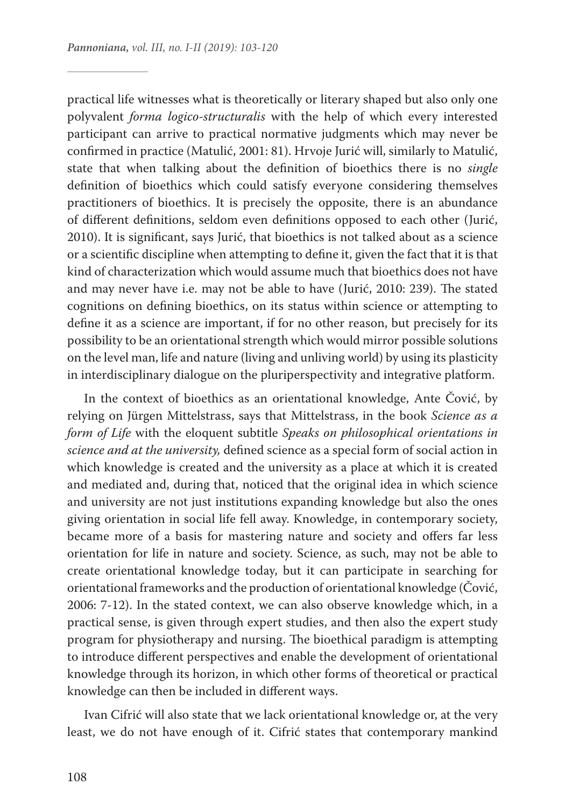practical life witnesses what is theoretically or literary shaped but also only one polyvalent *forma logico-structuralis* with the help of which every interested participant can arrive to practical normative judgments which may never be confirmed in practice (Matulić, 2001: 81). Hrvoje Jurić will, similarly to Matulić, state that when talking about the definition of bioethics there is no *single*  definition of bioethics which could satisfy everyone considering themselves practitioners of bioethics. It is precisely the opposite, there is an abundance of different definitions, seldom even definitions opposed to each other (Jurić, 2010). It is significant, says Jurić, that bioethics is not talked about as a science or a scientific discipline when attempting to define it, given the fact that it is that kind of characterization which would assume much that bioethics does not have and may never have i.e. may not be able to have (Jurić, 2010: 239). The stated cognitions on defining bioethics, on its status within science or attempting to define it as a science are important, if for no other reason, but precisely for its possibility to be an orientational strength which would mirror possible solutions on the level man, life and nature (living and unliving world) by using its plasticity in interdisciplinary dialogue on the pluriperspectivity and integrative platform.

In the context of bioethics as an orientational knowledge, Ante Čović, by relying on Jürgen Mittelstrass, says that Mittelstrass, in the book *Science as a form of Life* with the eloquent subtitle *Speaks on philosophical orientations in science and at the university,* defined science as a special form of social action in which knowledge is created and the university as a place at which it is created and mediated and, during that, noticed that the original idea in which science and university are not just institutions expanding knowledge but also the ones giving orientation in social life fell away. Knowledge, in contemporary society, became more of a basis for mastering nature and society and offers far less orientation for life in nature and society. Science, as such, may not be able to create orientational knowledge today, but it can participate in searching for orientational frameworks and the production of orientational knowledge (Čović, 2006: 7-12). In the stated context, we can also observe knowledge which, in a practical sense, is given through expert studies, and then also the expert study program for physiotherapy and nursing. The bioethical paradigm is attempting to introduce different perspectives and enable the development of orientational knowledge through its horizon, in which other forms of theoretical or practical knowledge can then be included in different ways.

Ivan Cifrić will also state that we lack orientational knowledge or, at the very least, we do not have enough of it. Cifrić states that contemporary mankind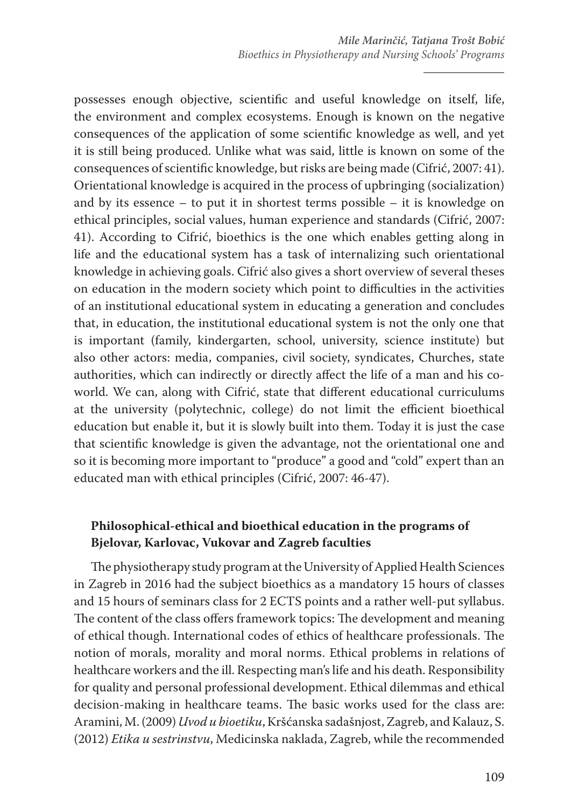possesses enough objective, scientific and useful knowledge on itself, life, the environment and complex ecosystems. Enough is known on the negative consequences of the application of some scientific knowledge as well, and yet it is still being produced. Unlike what was said, little is known on some of the consequences of scientific knowledge, but risks are being made (Cifrić, 2007: 41). Orientational knowledge is acquired in the process of upbringing (socialization) and by its essence – to put it in shortest terms possible – it is knowledge on ethical principles, social values, human experience and standards (Cifrić, 2007: 41). According to Cifrić, bioethics is the one which enables getting along in life and the educational system has a task of internalizing such orientational knowledge in achieving goals. Cifrić also gives a short overview of several theses on education in the modern society which point to difficulties in the activities of an institutional educational system in educating a generation and concludes that, in education, the institutional educational system is not the only one that is important (family, kindergarten, school, university, science institute) but also other actors: media, companies, civil society, syndicates, Churches, state authorities, which can indirectly or directly affect the life of a man and his coworld. We can, along with Cifrić, state that different educational curriculums at the university (polytechnic, college) do not limit the efficient bioethical education but enable it, but it is slowly built into them. Today it is just the case that scientific knowledge is given the advantage, not the orientational one and so it is becoming more important to "produce" a good and "cold" expert than an educated man with ethical principles (Cifrić, 2007: 46-47).

## **Philosophical-ethical and bioethical education in the programs of Bjelovar, Karlovac, Vukovar and Zagreb faculties**

The physiotherapy study program at the University of Applied Health Sciences in Zagreb in 2016 had the subject bioethics as a mandatory 15 hours of classes and 15 hours of seminars class for 2 ECTS points and a rather well-put syllabus. The content of the class offers framework topics: The development and meaning of ethical though. International codes of ethics of healthcare professionals. The notion of morals, morality and moral norms. Ethical problems in relations of healthcare workers and the ill. Respecting man's life and his death. Responsibility for quality and personal professional development. Ethical dilemmas and ethical decision-making in healthcare teams. The basic works used for the class are: Aramini, M. (2009) *Uvod u bioetiku*, Kršćanska sadašnjost, Zagreb, and Kalauz, S. (2012) *Etika u sestrinstvu*, Medicinska naklada, Zagreb, while the recommended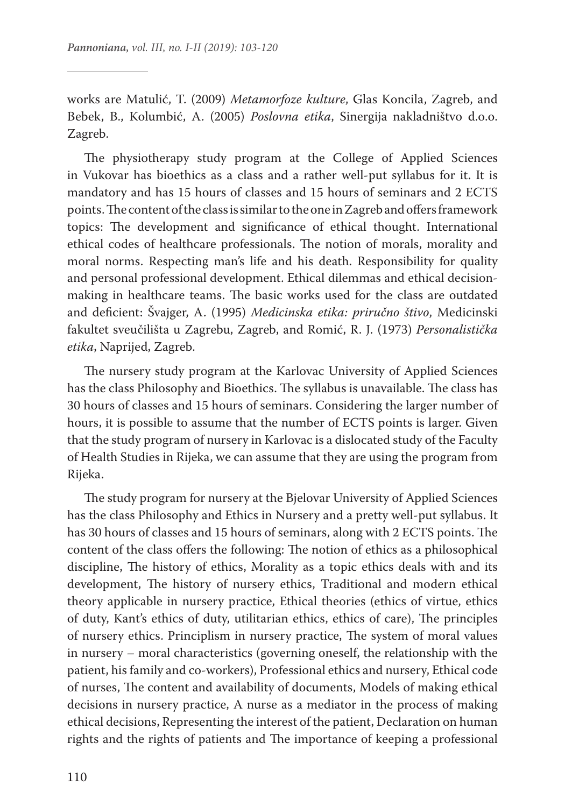works are Matulić, T. (2009) *Metamorfoze kulture*, Glas Koncila, Zagreb, and Bebek, B., Kolumbić, A. (2005) *Poslovna etika*, Sinergija nakladništvo d.o.o. Zagreb.

The physiotherapy study program at the College of Applied Sciences in Vukovar has bioethics as a class and a rather well-put syllabus for it. It is mandatory and has 15 hours of classes and 15 hours of seminars and 2 ECTS points. The content of the class is similar to the one in Zagreb and offers framework topics: The development and significance of ethical thought. International ethical codes of healthcare professionals. The notion of morals, morality and moral norms. Respecting man's life and his death. Responsibility for quality and personal professional development. Ethical dilemmas and ethical decisionmaking in healthcare teams. The basic works used for the class are outdated and deficient: Švajger, A. (1995) *Medicinska etika: priručno štivo*, Medicinski fakultet sveučilišta u Zagrebu, Zagreb, and Romić, R. J. (1973) *Personalistička etika*, Naprijed, Zagreb.

The nursery study program at the Karlovac University of Applied Sciences has the class Philosophy and Bioethics. The syllabus is unavailable. The class has 30 hours of classes and 15 hours of seminars. Considering the larger number of hours, it is possible to assume that the number of ECTS points is larger. Given that the study program of nursery in Karlovac is a dislocated study of the Faculty of Health Studies in Rijeka, we can assume that they are using the program from Rijeka.

The study program for nursery at the Bjelovar University of Applied Sciences has the class Philosophy and Ethics in Nursery and a pretty well-put syllabus. It has 30 hours of classes and 15 hours of seminars, along with 2 ECTS points. The content of the class offers the following: The notion of ethics as a philosophical discipline, The history of ethics, Morality as a topic ethics deals with and its development, The history of nursery ethics, Traditional and modern ethical theory applicable in nursery practice, Ethical theories (ethics of virtue, ethics of duty, Kant's ethics of duty, utilitarian ethics, ethics of care), The principles of nursery ethics. Principlism in nursery practice, The system of moral values in nursery – moral characteristics (governing oneself, the relationship with the patient, his family and co-workers), Professional ethics and nursery, Ethical code of nurses, The content and availability of documents, Models of making ethical decisions in nursery practice, A nurse as a mediator in the process of making ethical decisions, Representing the interest of the patient, Declaration on human rights and the rights of patients and The importance of keeping a professional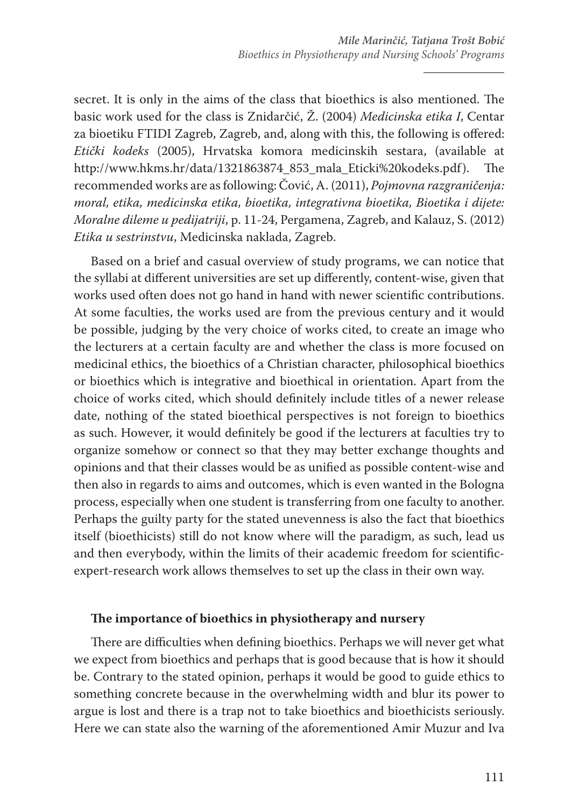secret. It is only in the aims of the class that bioethics is also mentioned. The basic work used for the class is Znidarčić, Ž. (2004) *Medicinska etika I*, Centar za bioetiku FTIDI Zagreb, Zagreb, and, along with this, the following is offered: *Etički kodeks* (2005), Hrvatska komora medicinskih sestara, (available at http://www.hkms.hr/data/1321863874\_853\_mala\_Eticki%20kodeks.pdf). The recommended works are as following: Čović, A. (2011), *Pojmovna razgraničenja: moral, etika, medicinska etika, bioetika, integrativna bioetika, Bioetika i dijete: Moralne dileme u pedijatriji*, p. 11-24, Pergamena, Zagreb, and Kalauz, S. (2012) *Etika u sestrinstvu*, Medicinska naklada, Zagreb.

Based on a brief and casual overview of study programs, we can notice that the syllabi at different universities are set up differently, content-wise, given that works used often does not go hand in hand with newer scientific contributions. At some faculties, the works used are from the previous century and it would be possible, judging by the very choice of works cited, to create an image who the lecturers at a certain faculty are and whether the class is more focused on medicinal ethics, the bioethics of a Christian character, philosophical bioethics or bioethics which is integrative and bioethical in orientation. Apart from the choice of works cited, which should definitely include titles of a newer release date, nothing of the stated bioethical perspectives is not foreign to bioethics as such. However, it would definitely be good if the lecturers at faculties try to organize somehow or connect so that they may better exchange thoughts and opinions and that their classes would be as unified as possible content-wise and then also in regards to aims and outcomes, which is even wanted in the Bologna process, especially when one student is transferring from one faculty to another. Perhaps the guilty party for the stated unevenness is also the fact that bioethics itself (bioethicists) still do not know where will the paradigm, as such, lead us and then everybody, within the limits of their academic freedom for scientificexpert-research work allows themselves to set up the class in their own way.

#### **The importance of bioethics in physiotherapy and nursery**

There are difficulties when defining bioethics. Perhaps we will never get what we expect from bioethics and perhaps that is good because that is how it should be. Contrary to the stated opinion, perhaps it would be good to guide ethics to something concrete because in the overwhelming width and blur its power to argue is lost and there is a trap not to take bioethics and bioethicists seriously. Here we can state also the warning of the aforementioned Amir Muzur and Iva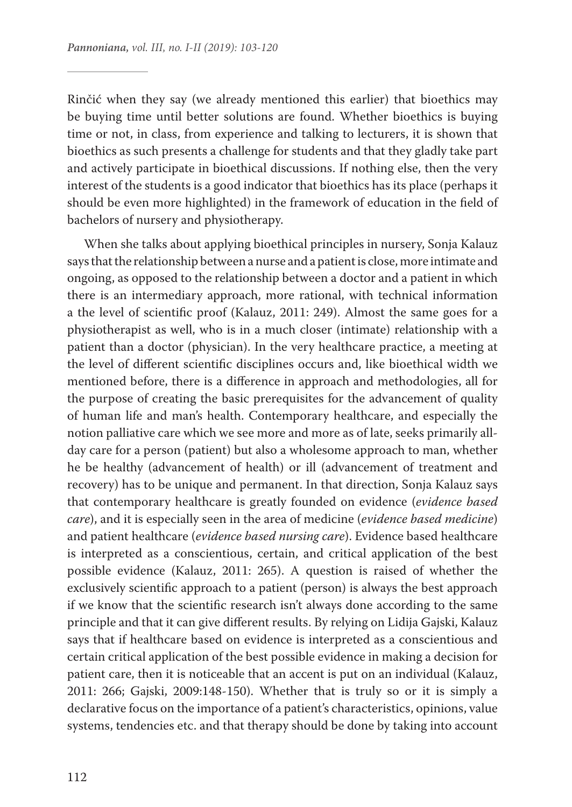Rinčić when they say (we already mentioned this earlier) that bioethics may be buying time until better solutions are found. Whether bioethics is buying time or not, in class, from experience and talking to lecturers, it is shown that bioethics as such presents a challenge for students and that they gladly take part and actively participate in bioethical discussions. If nothing else, then the very interest of the students is a good indicator that bioethics has its place (perhaps it should be even more highlighted) in the framework of education in the field of bachelors of nursery and physiotherapy.

When she talks about applying bioethical principles in nursery, Sonja Kalauz says that the relationship between a nurse and a patient is close, more intimate and ongoing, as opposed to the relationship between a doctor and a patient in which there is an intermediary approach, more rational, with technical information a the level of scientific proof (Kalauz, 2011: 249). Almost the same goes for a physiotherapist as well, who is in a much closer (intimate) relationship with a patient than a doctor (physician). In the very healthcare practice, a meeting at the level of different scientific disciplines occurs and, like bioethical width we mentioned before, there is a difference in approach and methodologies, all for the purpose of creating the basic prerequisites for the advancement of quality of human life and man's health. Contemporary healthcare, and especially the notion palliative care which we see more and more as of late, seeks primarily allday care for a person (patient) but also a wholesome approach to man, whether he be healthy (advancement of health) or ill (advancement of treatment and recovery) has to be unique and permanent. In that direction, Sonja Kalauz says that contemporary healthcare is greatly founded on evidence (*evidence based care*), and it is especially seen in the area of medicine (*evidence based medicine*) and patient healthcare (*evidence based nursing care*). Evidence based healthcare is interpreted as a conscientious, certain, and critical application of the best possible evidence (Kalauz, 2011: 265). A question is raised of whether the exclusively scientific approach to a patient (person) is always the best approach if we know that the scientific research isn't always done according to the same principle and that it can give different results. By relying on Lidija Gajski, Kalauz says that if healthcare based on evidence is interpreted as a conscientious and certain critical application of the best possible evidence in making a decision for patient care, then it is noticeable that an accent is put on an individual (Kalauz, 2011: 266; Gajski, 2009:148-150). Whether that is truly so or it is simply a declarative focus on the importance of a patient's characteristics, opinions, value systems, tendencies etc. and that therapy should be done by taking into account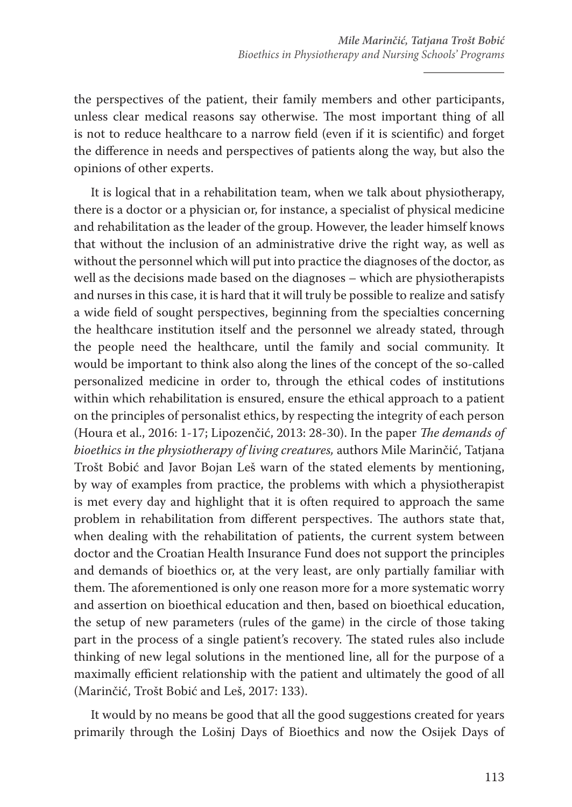the perspectives of the patient, their family members and other participants, unless clear medical reasons say otherwise. The most important thing of all is not to reduce healthcare to a narrow field (even if it is scientific) and forget the difference in needs and perspectives of patients along the way, but also the opinions of other experts.

It is logical that in a rehabilitation team, when we talk about physiotherapy, there is a doctor or a physician or, for instance, a specialist of physical medicine and rehabilitation as the leader of the group. However, the leader himself knows that without the inclusion of an administrative drive the right way, as well as without the personnel which will put into practice the diagnoses of the doctor, as well as the decisions made based on the diagnoses – which are physiotherapists and nurses in this case, it is hard that it will truly be possible to realize and satisfy a wide field of sought perspectives, beginning from the specialties concerning the healthcare institution itself and the personnel we already stated, through the people need the healthcare, until the family and social community. It would be important to think also along the lines of the concept of the so-called personalized medicine in order to, through the ethical codes of institutions within which rehabilitation is ensured, ensure the ethical approach to a patient on the principles of personalist ethics, by respecting the integrity of each person (Houra et al., 2016: 1-17; Lipozenčić, 2013: 28-30). In the paper *The demands of bioethics in the physiotherapy of living creatures,* authors Mile Marinčić, Tatjana Trošt Bobić and Javor Bojan Leš warn of the stated elements by mentioning, by way of examples from practice, the problems with which a physiotherapist is met every day and highlight that it is often required to approach the same problem in rehabilitation from different perspectives. The authors state that, when dealing with the rehabilitation of patients, the current system between doctor and the Croatian Health Insurance Fund does not support the principles and demands of bioethics or, at the very least, are only partially familiar with them. The aforementioned is only one reason more for a more systematic worry and assertion on bioethical education and then, based on bioethical education, the setup of new parameters (rules of the game) in the circle of those taking part in the process of a single patient's recovery. The stated rules also include thinking of new legal solutions in the mentioned line, all for the purpose of a maximally efficient relationship with the patient and ultimately the good of all (Marinčić, Trošt Bobić and Leš, 2017: 133).

It would by no means be good that all the good suggestions created for years primarily through the Lošinj Days of Bioethics and now the Osijek Days of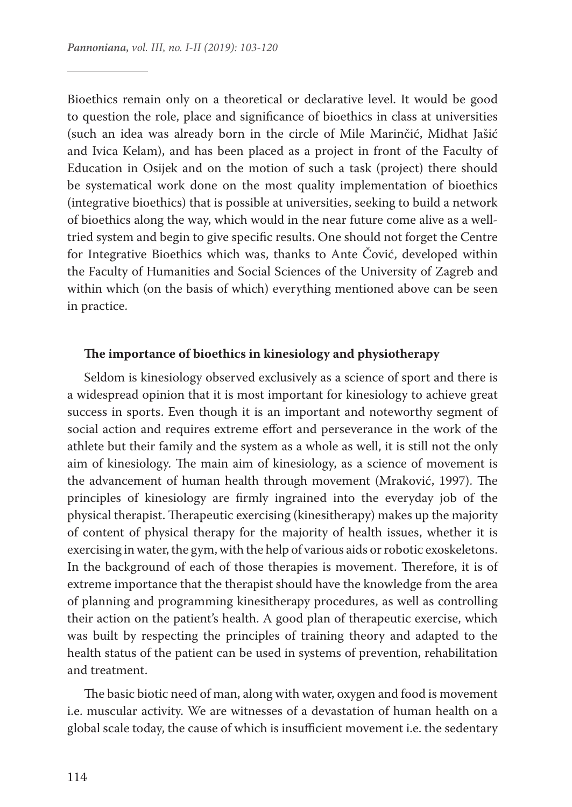Bioethics remain only on a theoretical or declarative level. It would be good to question the role, place and significance of bioethics in class at universities (such an idea was already born in the circle of Mile Marinčić, Midhat Jašić and Ivica Kelam), and has been placed as a project in front of the Faculty of Education in Osijek and on the motion of such a task (project) there should be systematical work done on the most quality implementation of bioethics (integrative bioethics) that is possible at universities, seeking to build a network of bioethics along the way, which would in the near future come alive as a welltried system and begin to give specific results. One should not forget the Centre for Integrative Bioethics which was, thanks to Ante Čović, developed within the Faculty of Humanities and Social Sciences of the University of Zagreb and within which (on the basis of which) everything mentioned above can be seen in practice.

#### **The importance of bioethics in kinesiology and physiotherapy**

Seldom is kinesiology observed exclusively as a science of sport and there is a widespread opinion that it is most important for kinesiology to achieve great success in sports. Even though it is an important and noteworthy segment of social action and requires extreme effort and perseverance in the work of the athlete but their family and the system as a whole as well, it is still not the only aim of kinesiology. The main aim of kinesiology, as a science of movement is the advancement of human health through movement (Mraković, 1997). The principles of kinesiology are firmly ingrained into the everyday job of the physical therapist. Therapeutic exercising (kinesitherapy) makes up the majority of content of physical therapy for the majority of health issues, whether it is exercising in water, the gym, with the help of various aids or robotic exoskeletons. In the background of each of those therapies is movement. Therefore, it is of extreme importance that the therapist should have the knowledge from the area of planning and programming kinesitherapy procedures, as well as controlling their action on the patient's health. A good plan of therapeutic exercise, which was built by respecting the principles of training theory and adapted to the health status of the patient can be used in systems of prevention, rehabilitation and treatment.

The basic biotic need of man, along with water, oxygen and food is movement i.e. muscular activity. We are witnesses of a devastation of human health on a global scale today, the cause of which is insufficient movement i.e. the sedentary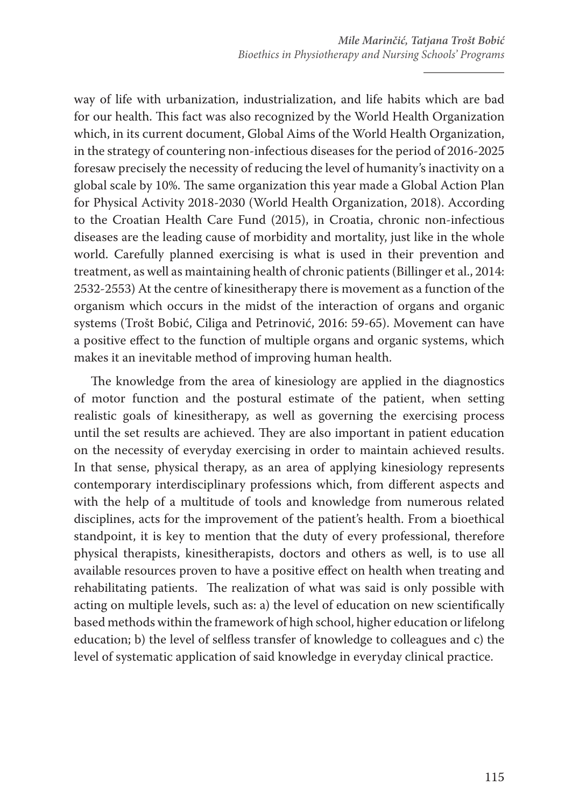way of life with urbanization, industrialization, and life habits which are bad for our health. This fact was also recognized by the World Health Organization which, in its current document, Global Aims of the World Health Organization, in the strategy of countering non-infectious diseases for the period of 2016-2025 foresaw precisely the necessity of reducing the level of humanity's inactivity on a global scale by 10%. The same organization this year made a Global Action Plan for Physical Activity 2018-2030 (World Health Organization, 2018). According to the Croatian Health Care Fund (2015), in Croatia, chronic non-infectious diseases are the leading cause of morbidity and mortality, just like in the whole world. Carefully planned exercising is what is used in their prevention and treatment, as well as maintaining health of chronic patients (Billinger et al., 2014: 2532-2553) At the centre of kinesitherapy there is movement as a function of the organism which occurs in the midst of the interaction of organs and organic systems (Trošt Bobić, Ciliga and Petrinović, 2016: 59-65). Movement can have a positive effect to the function of multiple organs and organic systems, which makes it an inevitable method of improving human health.

The knowledge from the area of kinesiology are applied in the diagnostics of motor function and the postural estimate of the patient, when setting realistic goals of kinesitherapy, as well as governing the exercising process until the set results are achieved. They are also important in patient education on the necessity of everyday exercising in order to maintain achieved results. In that sense, physical therapy, as an area of applying kinesiology represents contemporary interdisciplinary professions which, from different aspects and with the help of a multitude of tools and knowledge from numerous related disciplines, acts for the improvement of the patient's health. From a bioethical standpoint, it is key to mention that the duty of every professional, therefore physical therapists, kinesitherapists, doctors and others as well, is to use all available resources proven to have a positive effect on health when treating and rehabilitating patients. The realization of what was said is only possible with acting on multiple levels, such as: a) the level of education on new scientifically based methods within the framework of high school, higher education or lifelong education; b) the level of selfless transfer of knowledge to colleagues and c) the level of systematic application of said knowledge in everyday clinical practice.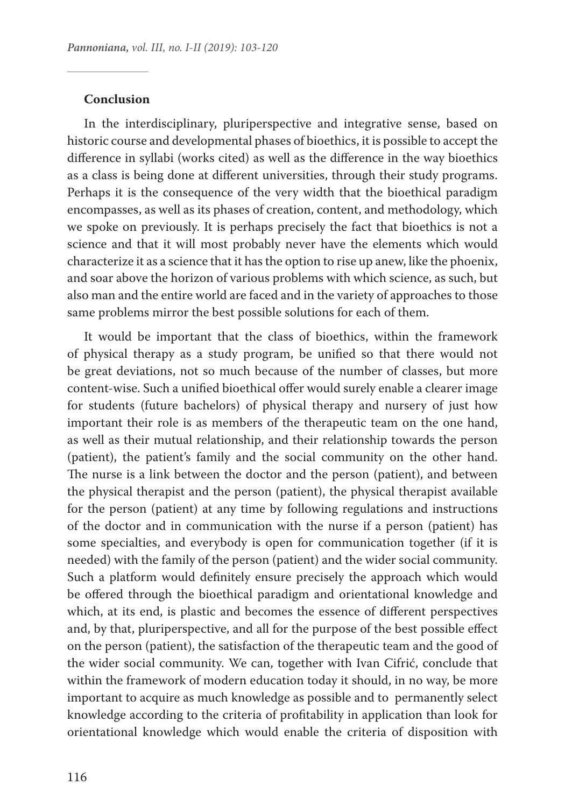#### **Conclusion**

In the interdisciplinary, pluriperspective and integrative sense, based on historic course and developmental phases of bioethics, it is possible to accept the difference in syllabi (works cited) as well as the difference in the way bioethics as a class is being done at different universities, through their study programs. Perhaps it is the consequence of the very width that the bioethical paradigm encompasses, as well as its phases of creation, content, and methodology, which we spoke on previously. It is perhaps precisely the fact that bioethics is not a science and that it will most probably never have the elements which would characterize it as a science that it has the option to rise up anew, like the phoenix, and soar above the horizon of various problems with which science, as such, but also man and the entire world are faced and in the variety of approaches to those same problems mirror the best possible solutions for each of them.

It would be important that the class of bioethics, within the framework of physical therapy as a study program, be unified so that there would not be great deviations, not so much because of the number of classes, but more content-wise. Such a unified bioethical offer would surely enable a clearer image for students (future bachelors) of physical therapy and nursery of just how important their role is as members of the therapeutic team on the one hand, as well as their mutual relationship, and their relationship towards the person (patient), the patient's family and the social community on the other hand. The nurse is a link between the doctor and the person (patient), and between the physical therapist and the person (patient), the physical therapist available for the person (patient) at any time by following regulations and instructions of the doctor and in communication with the nurse if a person (patient) has some specialties, and everybody is open for communication together (if it is needed) with the family of the person (patient) and the wider social community. Such a platform would definitely ensure precisely the approach which would be offered through the bioethical paradigm and orientational knowledge and which, at its end, is plastic and becomes the essence of different perspectives and, by that, pluriperspective, and all for the purpose of the best possible effect on the person (patient), the satisfaction of the therapeutic team and the good of the wider social community. We can, together with Ivan Cifrić, conclude that within the framework of modern education today it should, in no way, be more important to acquire as much knowledge as possible and to permanently select knowledge according to the criteria of profitability in application than look for orientational knowledge which would enable the criteria of disposition with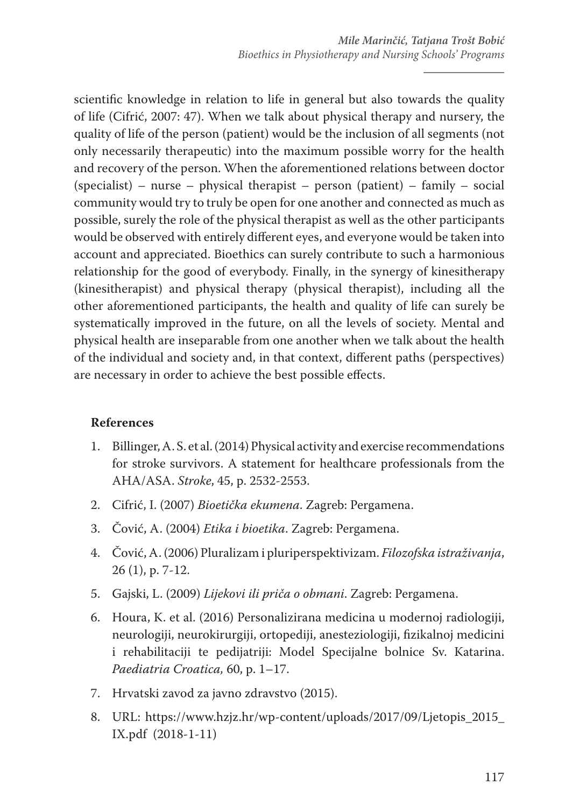scientific knowledge in relation to life in general but also towards the quality of life (Cifrić, 2007: 47). When we talk about physical therapy and nursery, the quality of life of the person (patient) would be the inclusion of all segments (not only necessarily therapeutic) into the maximum possible worry for the health and recovery of the person. When the aforementioned relations between doctor (specialist) – nurse – physical therapist – person (patient) – family – social community would try to truly be open for one another and connected as much as possible, surely the role of the physical therapist as well as the other participants would be observed with entirely different eyes, and everyone would be taken into account and appreciated. Bioethics can surely contribute to such a harmonious relationship for the good of everybody. Finally, in the synergy of kinesitherapy (kinesitherapist) and physical therapy (physical therapist), including all the other aforementioned participants, the health and quality of life can surely be systematically improved in the future, on all the levels of society. Mental and physical health are inseparable from one another when we talk about the health of the individual and society and, in that context, different paths (perspectives) are necessary in order to achieve the best possible effects.

### **References**

- 1. Billinger, A. S. et al. (2014) Physical activity and exercise recommendations for stroke survivors. A statement for healthcare professionals from the AHA/ASA. *Stroke*, 45, p. 2532-2553.
- 2. Cifrić, I. (2007) *Bioetička ekumena*. Zagreb: Pergamena.
- 3. Čović, A. (2004) *Etika i bioetika*. Zagreb: Pergamena.
- 4. Čović, A. (2006) Pluralizam i pluriperspektivizam. *Filozofska istraživanja*, 26 (1), p. 7-12.
- 5. Gajski, L. (2009) *Lijekovi ili priča o obmani*. Zagreb: Pergamena.
- 6. Houra, K. et al. (2016) Personalizirana medicina u modernoj radiologiji, neurologiji, neurokirurgiji, ortopediji, anesteziologiji, fizikalnoj medicini i rehabilitaciji te pedijatriji: Model Specijalne bolnice Sv. Katarina. *Paediatria Croatica,* 60, p. 1–17.
- 7. Hrvatski zavod za javno zdravstvo (2015).
- 8. URL: https://www.hzjz.hr/wp-content/uploads/2017/09/Ljetopis\_2015\_ IX.pdf (2018-1-11)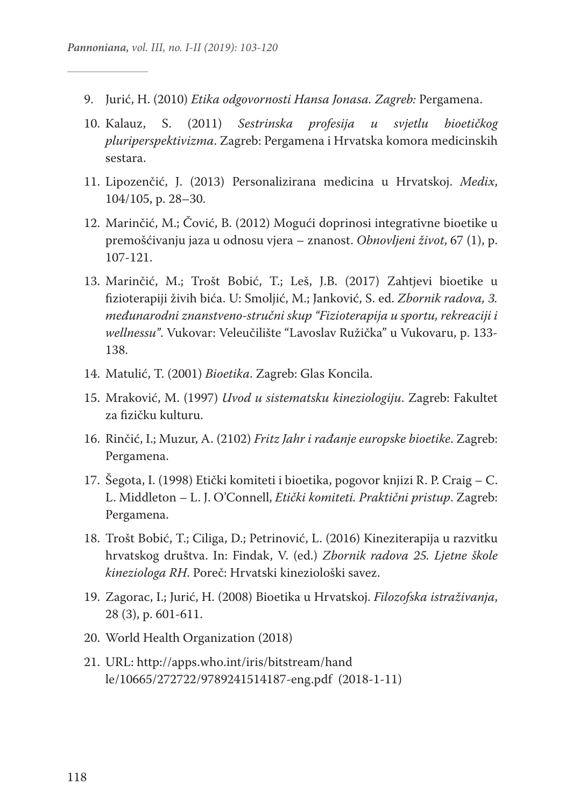- 9. Jurić, H. (2010) *Etika odgovornosti Hansa Jonasa. Zagreb:* Pergamena.
- 10. Kalauz, S. (2011) *Sestrinska profesija u svjetlu bioetičkog pluriperspektivizma*. Zagreb: Pergamena i Hrvatska komora medicinskih sestara.
- 11. Lipozenčić, J. (2013) Personalizirana medicina u Hrvatskoj. *Medix*, 104/105, p. 28–30.
- 12. Marinčić, M.; Čović, B. (2012) Mogući doprinosi integrativne bioetike u premošćivanju jaza u odnosu vjera – znanost. *Obnovljeni život*, 67 (1), p. 107-121.
- 13. Marinčić, M.; Trošt Bobić, T.; Leš, J.B. (2017) Zahtjevi bioetike u fizioterapiji živih bića. U: Smoljić, M.; Janković, S. ed. *Zbornik radova, 3. međunarodni znanstveno-stručni skup "Fizioterapija u sportu, rekreaciji i wellnessu"*. Vukovar: Veleučilište "Lavoslav Ružička" u Vukovaru, p. 133- 138.
- 14. Matulić, T. (2001) *Bioetika*. Zagreb: Glas Koncila.
- 15. Mraković, M. (1997) *Uvod u sistematsku kineziologiju*. Zagreb: Fakultet za fizičku kulturu.
- 16. Rinčić, I.; Muzur, A. (2102) *Fritz Jahr i rađanje europske bioetike*. Zagreb: Pergamena.
- 17. Šegota, I. (1998) Etički komiteti i bioetika, pogovor knjizi R. P. Craig C. L. Middleton – L. J. O'Connell, *Etički komiteti. Praktični pristup*. Zagreb: Pergamena.
- 18. Trošt Bobić, T.; Ciliga, D.; Petrinović, L. (2016) Kineziterapija u razvitku hrvatskog društva. In: Findak, V. (ed.) *Zbornik radova 25. Ljetne škole kineziologa RH*. Poreč: Hrvatski kineziološki savez.
- 19. Zagorac, I.; Jurić, H. (2008) Bioetika u Hrvatskoj. *Filozofska istraživanja*, 28 (3), p. 601-611.
- 20. World Health Organization (2018)
- 21. URL: http://apps.who.int/iris/bitstream/hand le/10665/272722/9789241514187-eng.pdf (2018-1-11)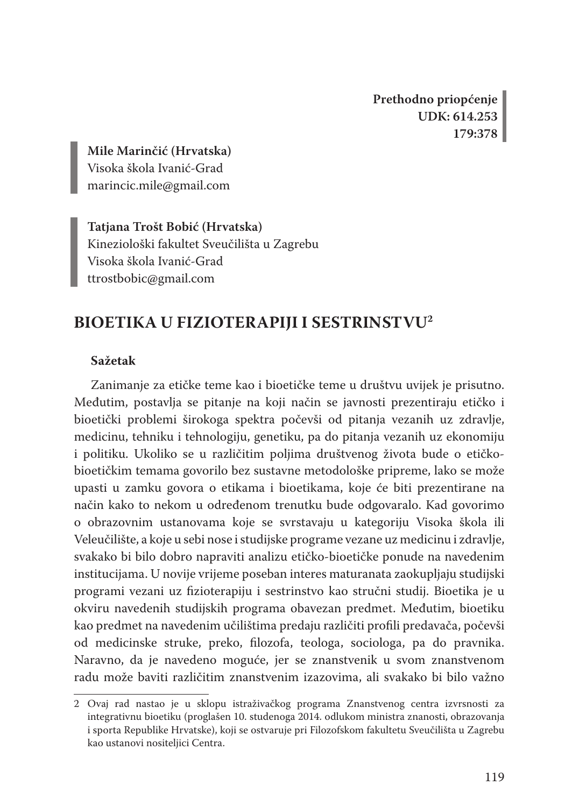**Prethodno priopćenje UDK: 614.253 179:378**

**Mile Marinčić (Hrvatska)** Visoka škola Ivanić-Grad marincic.mile@gmail.com

**Tatjana Trošt Bobić (Hrvatska)** Kineziološki fakultet Sveučilišta u Zagrebu Visoka škola Ivanić-Grad ttrostbobic@gmail.com

# **BIOETIKA U FIZIOTERAPIJI I SESTRINSTVU2**

#### **Sažetak**

Zanimanje za etičke teme kao i bioetičke teme u društvu uvijek je prisutno. Međutim, postavlja se pitanje na koji način se javnosti prezentiraju etičko i bioetički problemi širokoga spektra počevši od pitanja vezanih uz zdravlje, medicinu, tehniku i tehnologiju, genetiku, pa do pitanja vezanih uz ekonomiju i politiku. Ukoliko se u različitim poljima društvenog života bude o etičkobioetičkim temama govorilo bez sustavne metodološke pripreme, lako se može upasti u zamku govora o etikama i bioetikama, koje će biti prezentirane na način kako to nekom u određenom trenutku bude odgovaralo. Kad govorimo o obrazovnim ustanovama koje se svrstavaju u kategoriju Visoka škola ili Veleučilište, a koje u sebi nose i studijske programe vezane uz medicinu i zdravlje, svakako bi bilo dobro napraviti analizu etičko-bioetičke ponude na navedenim institucijama. U novije vrijeme poseban interes maturanata zaokupljaju studijski programi vezani uz fizioterapiju i sestrinstvo kao stručni studij. Bioetika je u okviru navedenih studijskih programa obavezan predmet. Međutim, bioetiku kao predmet na navedenim učilištima predaju različiti profili predavača, počevši od medicinske struke, preko, filozofa, teologa, sociologa, pa do pravnika. Naravno, da je navedeno moguće, jer se znanstvenik u svom znanstvenom radu može baviti različitim znanstvenim izazovima, ali svakako bi bilo važno

<sup>2</sup> Ovaj rad nastao je u sklopu istraživačkog programa Znanstvenog centra izvrsnosti za integrativnu bioetiku (proglašen 10. studenoga 2014. odlukom ministra znanosti, obrazovanja i sporta Republike Hrvatske), koji se ostvaruje pri Filozofskom fakultetu Sveučilišta u Zagrebu kao ustanovi nositeljici Centra.